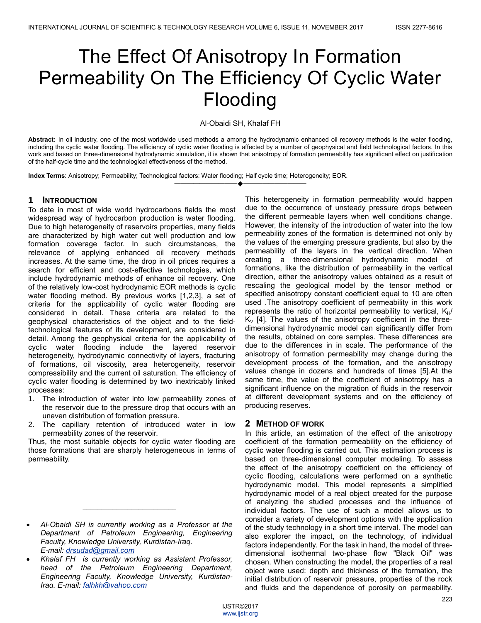# The Effect Of Anisotropy In Formation Permeability On The Efficiency Of Cyclic Water Flooding

Al-Obaidi SH, Khalaf FH

**Abstract:** In oil industry, one of the most worldwide used methods a among the hydrodynamic enhanced oil recovery methods is the water flooding, including the cyclic water flooding. The efficiency of cyclic water flooding is affected by a number of geophysical and field technological factors. In this work and based on three-dimensional hydrodynamic simulation, it is shown that anisotropy of formation permeability has significant effect on justification of the half-cycle time and the technological effectiveness of the method.

————————————————————

**Index Terms**: Anisotropy; Permeability; Technological factors: Water flooding; Half cycle time; Heterogeneity; EOR.

# **1 INTRODUCTION**

To date in most of wide world hydrocarbons fields the most widespread way of hydrocarbon production is water flooding. Due to high heterogeneity of reservoirs properties, many fields are characterized by high water cut well production and low formation coverage factor. In such circumstances, the relevance of applying enhanced oil recovery methods increases. At the same time, the drop in oil prices requires a search for efficient and cost-effective technologies, which include hydrodynamic methods of enhance oil recovery. One of the relatively low-cost hydrodynamic EOR methods is cyclic water flooding method. By previous works [1,2,3], a set of criteria for the applicability of cyclic water flooding are considered in detail. These criteria are related to the geophysical characteristics of the object and to the fieldtechnological features of its development, are considered in detail. Among the geophysical criteria for the applicability of cyclic water flooding include the layered reservoir heterogeneity, hydrodynamic connectivity of layers, fracturing of formations, oil viscosity, area heterogeneity, reservoir compressibility and the current oil saturation. The efficiency of cyclic water flooding is determined by two inextricably linked processes:

- 1. The introduction of water into low permeability zones of the reservoir due to the pressure drop that occurs with an uneven distribution of formation pressure.
- 2. The capillary retention of introduced water in low permeability zones of the reservoir.

Thus, the most suitable objects for cyclic water flooding are those formations that are sharply heterogeneous in terms of permeability.

\_\_\_\_\_\_\_\_\_\_\_\_\_\_\_\_\_\_\_\_\_\_\_\_\_

This heterogeneity in formation permeability would happen due to the occurrence of unsteady pressure drops between the different permeable layers when well conditions change. However, the intensity of the introduction of water into the low permeability zones of the formation is determined not only by the values of the emerging pressure gradients, but also by the permeability of the layers in the vertical direction. When creating a three-dimensional hydrodynamic model of formations, like the distribution of permeability in the vertical direction, either the anisotropy values obtained as a result of rescaling the geological model by the tensor method or specified anisotropy constant coefficient equal to 10 are often used .The anisotropy coefficient of permeability in this work represents the ratio of horizontal permeability to vertical,  $K_H/$  $K_V$  [4]. The values of the anisotropy coefficient in the threedimensional hydrodynamic model can significantly differ from the results, obtained on core samples. These differences are due to the differences in in scale. The performance of the anisotropy of formation permeability may change during the development process of the formation, and the anisotropy values change in dozens and hundreds of times [5].At the same time, the value of the coefficient of anisotropy has a significant influence on the migration of fluids in the reservoir at different development systems and on the efficiency of producing reserves.

#### **2 METHOD OF WORK**

In this article, an estimation of the effect of the anisotropy coefficient of the formation permeability on the efficiency of cyclic water flooding is carried out. This estimation process is based on three-dimensional computer modeling. To assess the effect of the anisotropy coefficient on the efficiency of cyclic flooding, calculations were performed on a synthetic hydrodynamic model. This model represents a simplified hydrodynamic model of a real object created for the purpose of analyzing the studied processes and the influence of individual factors. The use of such a model allows us to consider a variety of development options with the application of the study technology in a short time interval. The model can also explorer the impact, on the technology, of individual factors independently. For the task in hand, the model of threedimensional isothermal two-phase flow "Black Oil" was chosen. When constructing the model, the properties of a real object were used: depth and thickness of the formation, the initial distribution of reservoir pressure, properties of the rock and fluids and the dependence of porosity on permeability.

*Al-Obaidi SH is currently working as a Professor at the Department of Petroleum Engineering, Engineering Faculty, Knowledge University, Kurdistan-Iraq. E-mail: drsudad@gmail.com*

*Khalaf FH is currently working as Assistant Professor, head of the Petroleum Engineering Department, Engineering Faculty, Knowledge University, Kurdistan-Iraq. E-mail: falhkh@yahoo.com*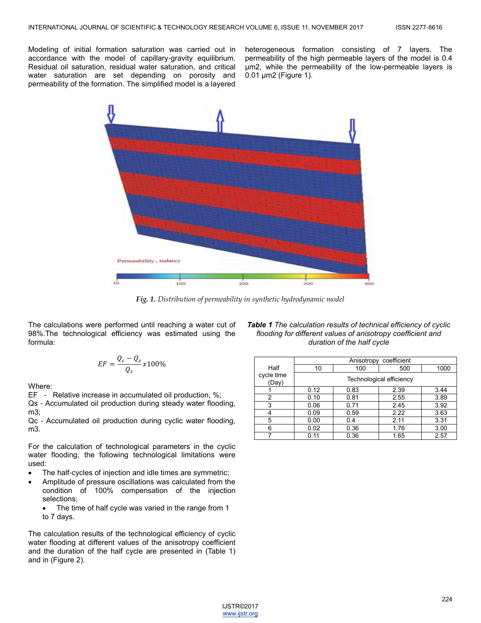Modeling of initial formation saturation was carried out in accordance with the model of capillary-gravity equilibrium. Residual oil saturation, residual water saturation, and critical water saturation are set depending on porosity and permeability of the formation. The simplified model is a layered

heterogeneous formation consisting of 7 layers. The permeability of the high permeable layers of the model is 0.4 μm2, while the permeability of the low-permeable layers is 0.01 μm2 (Figure 1).



*Fig. 1. Distribution of permeability in synthetic hydrodynamic model*

The calculations were performed until reaching a water cut of 98%.The technological efficiency was estimated using the formula:

$$
EF = \frac{Q_c - Q_s}{Q_s} x 100\%
$$

Where:

EF - Relative increase in accumulated oil production, %;

Qs - Accumulated oil production during steady water flooding, m3;

Qc - Accumulated oil production during cyclic water flooding, m3.

For the calculation of technological parameters in the cyclic water flooding, the following technological limitations were used:

- The half-cycles of injection and idle times are symmetric;
- Amplitude of pressure oscillations was calculated from the condition of 100% compensation of the injection selections;
	- The time of half cycle was varied in the range from 1 to 7 days.

The calculation results of the technological efficiency of cyclic water flooding at different values of the anisotropy coefficient and the duration of the half cycle are presented in (Table 1) and in (Figure 2).

*Table 1 The calculation results of technical efficiency of cyclic flooding for different values of anisotropy coefficient and duration of the half cycle*

|                     | Anisotropy<br>coefficient |      |      |      |  |
|---------------------|---------------------------|------|------|------|--|
| Half                | 10                        | 100  | 500  | 1000 |  |
| cycle time<br>(Day) | Technological efficiency  |      |      |      |  |
|                     | 0.12                      | 0.83 | 2.39 | 3.44 |  |
| 2                   | 0.10                      | 0.81 | 2.55 | 3.89 |  |
| 3                   | 0.06                      | 0.71 | 2.45 | 3.92 |  |
|                     | 0.09                      | 0.59 | 2.22 | 3.63 |  |
| 5                   | 0.00                      | 0.4  | 2.11 | 3.31 |  |
| 6                   | 0.02                      | 0.36 | 1.76 | 3.00 |  |
|                     | 0.11                      | 0.36 | 1.65 | 2.57 |  |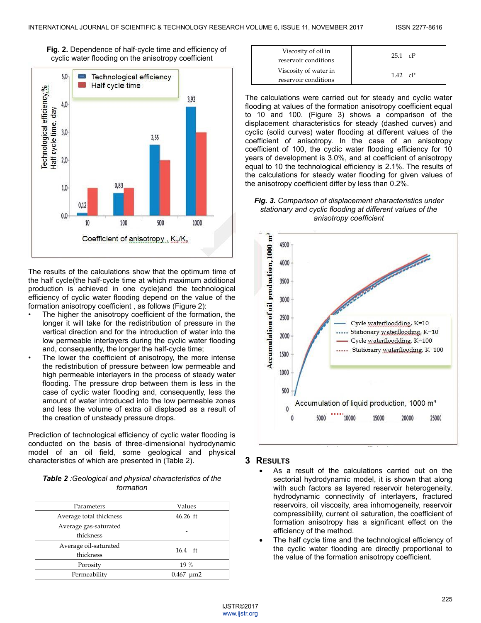



The results of the calculations show that the optimum time of the half cycle(the half-cycle time at which maximum additional production is achieved in one cycle)and the technological efficiency of cyclic water flooding depend on the value of the formation anisotropy coefficient , as follows (Figure 2):

- The higher the anisotropy coefficient of the formation, the longer it will take for the redistribution of pressure in the vertical direction and for the introduction of water into the low permeable interlayers during the cyclic water flooding and, consequently, the longer the half-cycle time;
- The lower the coefficient of anisotropy, the more intense the redistribution of pressure between low permeable and high permeable interlayers in the process of steady water flooding. The pressure drop between them is less in the case of cyclic water flooding and, consequently, less the amount of water introduced into the low permeable zones and less the volume of extra oil displaced as a result of the creation of unsteady pressure drops.

Prediction of technological efficiency of cyclic water flooding is conducted on the basis of three-dimensional hydrodynamic model of an oil field, some geological and physical characteristics of which are presented in (Table 2).

| <b>Table 2</b> : Geological and physical characteristics of the |
|-----------------------------------------------------------------|
| formation                                                       |

| Parameters                         | Values            |  |
|------------------------------------|-------------------|--|
| Average total thickness            | 46.26 ft          |  |
| Average gas-saturated<br>thickness |                   |  |
| Average oil-saturated<br>thickness | $16.4$ ft         |  |
| Porosity                           | 19 %              |  |
| Permeability                       | 0.467<br>$\mu$ m2 |  |

| Viscosity of oil in<br>reservoir conditions   | $251$ $cP$ |  |
|-----------------------------------------------|------------|--|
| Viscosity of water in<br>reservoir conditions | $142$ $cP$ |  |

The calculations were carried out for steady and cyclic water flooding at values of the formation anisotropy coefficient equal to 10 and 100. (Figure 3) shows a comparison of the displacement characteristics for steady (dashed curves) and cyclic (solid curves) water flooding at different values of the coefficient of anisotropy. In the case of an anisotropy coefficient of 100, the cyclic water flooding efficiency for 10 years of development is 3.0%, and at coefficient of anisotropy equal to 10 the technological efficiency is 2.1%. The results of the calculations for steady water flooding for given values of the anisotropy coefficient differ by less than 0.2%.

*Fig. 3. Comparison of displacement characteristics under stationary and cyclic flooding at different values of the anisotropy coefficient*



#### **3 RESULTS**

- As a result of the calculations carried out on the sectorial hydrodynamic model, it is shown that along with such factors as layered reservoir heterogeneity, hydrodynamic connectivity of interlayers, fractured reservoirs, oil viscosity, area inhomogeneity, reservoir compressibility, current oil saturation, the coefficient of formation anisotropy has a significant effect on the efficiency of the method.
- The half cycle time and the technological efficiency of the cyclic water flooding are directly proportional to the value of the formation anisotropy coefficient.